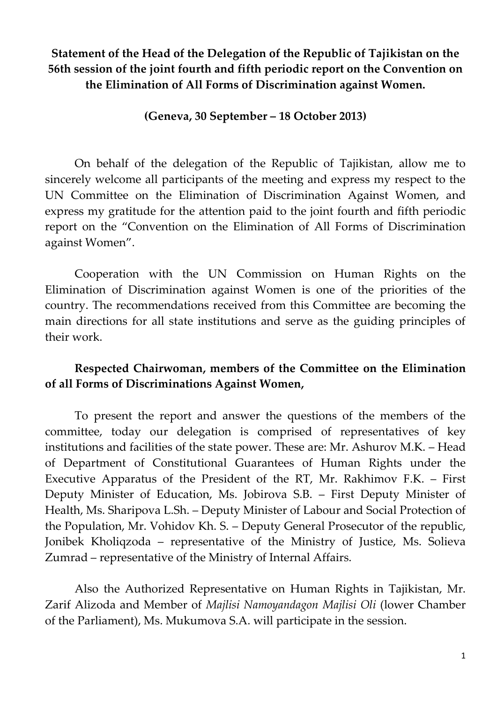# **Statement of the Head of the Delegation of the Republic of Tajikistan on the 56th session of the joint fourth and fifth periodic report on the Convention on the Elimination of All Forms of Discrimination against Women.**

## **(Geneva, 30 September – 18 October 2013)**

On behalf of the delegation of the Republic of Tajikistan, allow me to sincerely welcome all participants of the meeting and express my respect to the UN Committee on the Elimination of Discrimination Against Women, and express my gratitude for the attention paid to the joint fourth and fifth periodic report on the "Convention on the Elimination of All Forms of Discrimination against Women".

Cooperation with the UN Commission on Human Rights on the Elimination of Discrimination against Women is one of the priorities of the country. The recommendations received from this Committee are becoming the main directions for all state institutions and serve as the guiding principles of their work.

# **Respected Chairwoman, members of the Committee on the Elimination of all Forms of Discriminations Against Women,**

To present the report and answer the questions of the members of the committee, today our delegation is comprised of representatives of key institutions and facilities of the state power. These are: Mr. Ashurov M.K. – Head of Department of Constitutional Guarantees of Human Rights under the Executive Apparatus of the President of the RT, Mr. Rakhimov F.K. – First Deputy Minister of Education, Ms. Jobirova S.B. – First Deputy Minister of Health, Ms. Sharipova L.Sh. – Deputy Minister of Labour and Social Protection of the Population, Mr. Vohidov Kh. S. – Deputy General Prosecutor of the republic, Jonibek Kholiqzoda – representative of the Ministry of Justice, Ms. Solieva Zumrad – representative of the Ministry of Internal Affairs.

Also the Authorized Representative on Human Rights in Tajikistan, Mr. Zarif Alizoda and Member of *Majlisi Namoyandagon Majlisi Oli* (lower Chamber of the Parliament), Ms. Mukumova S.A. will participate in the session.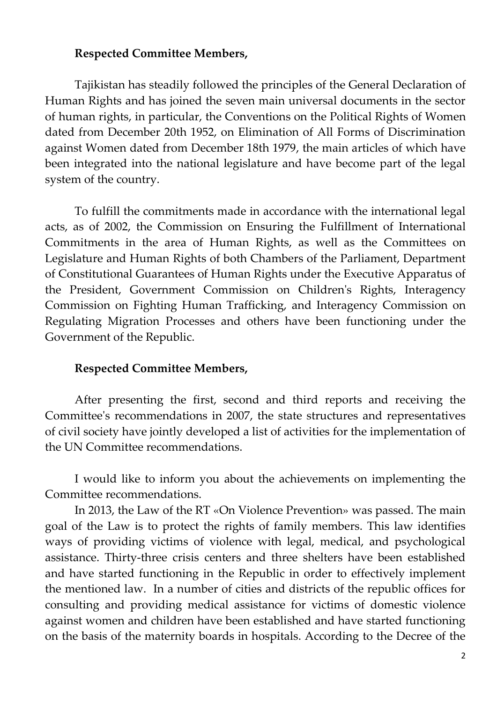#### **Respected Committee Members,**

Tajikistan has steadily followed the principles of the General Declaration of Human Rights and has joined the seven main universal documents in the sector of human rights, in particular, the Conventions on the Political Rights of Women dated from December 20th 1952, on Elimination of All Forms of Discrimination against Women dated from December 18th 1979, the main articles of which have been integrated into the national legislature and have become part of the legal system of the country.

To fulfill the commitments made in accordance with the international legal acts, as of 2002, the Commission on Ensuring the Fulfillment of International Commitments in the area of Human Rights, as well as the Committees on Legislature and Human Rights of both Chambers of the Parliament, Department of Constitutional Guarantees of Human Rights under the Executive Apparatus of the President, Government Commission on Children's Rights, Interagency Commission on Fighting Human Trafficking, and Interagency Commission on Regulating Migration Processes and others have been functioning under the Government of the Republic.

## **Respected Committee Members,**

After presenting the first, second and third reports and receiving the Committee's recommendations in 2007, the state structures and representatives of civil society have jointly developed a list of activities for the implementation of the UN Committee recommendations.

I would like to inform you about the achievements on implementing the Committee recommendations.

In 2013, the Law of the RT «On Violence Prevention» was passed. The main goal of the Law is to protect the rights of family members. This law identifies ways of providing victims of violence with legal, medical, and psychological assistance. Thirty-three crisis centers and three shelters have been established and have started functioning in the Republic in order to effectively implement the mentioned law. In a number of cities and districts of the republic offices for consulting and providing medical assistance for victims of domestic violence against women and children have been established and have started functioning on the basis of the maternity boards in hospitals. According to the Decree of the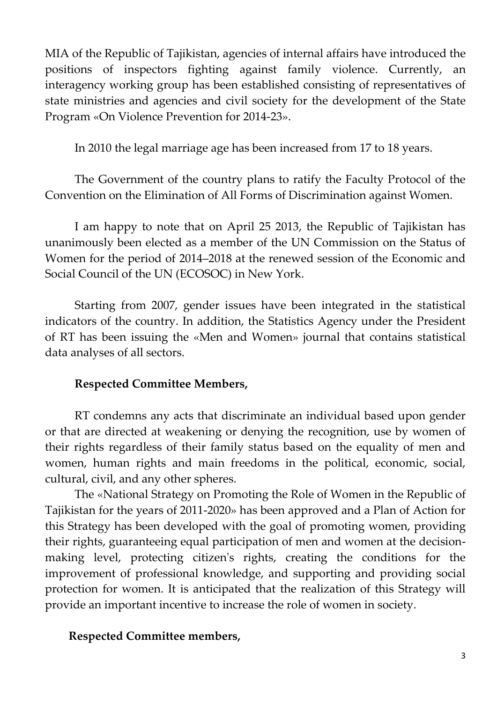MIA of the Republic of Tajikistan, agencies of internal affairs have introduced the positions of inspectors fighting against family violence. Currently, an interagency working group has been established consisting of representatives of state ministries and agencies and civil society for the development of the State Program «On Violence Prevention for 2014-23».

In 2010 the legal marriage age has been increased from 17 to 18 years.

The Government of the country plans to ratify the Faculty Protocol of the Convention on the Elimination of All Forms of Discrimination against Women.

I am happy to note that on April 25 2013, the Republic of Tajikistan has unanimously been elected as a member of the UN Commission on the Status of Women for the period of 2014–2018 at the renewed session of the Economic and Social Council of the UN (ECОSOC) in New York.

Starting from 2007, gender issues have been integrated in the statistical indicators of the country. In addition, the Statistics Agency under the President of RT has been issuing the «Men and Women» journal that contains statistical data analyses of all sectors.

# **Respected Committee Members,**

RT condemns any acts that discriminate an individual based upon gender or that are directed at weakening or denying the recognition, use by women of their rights regardless of their family status based on the equality of men and women, human rights and main freedoms in the political, economic, social, cultural, civil, and any other spheres.

The «National Strategy on Promoting the Role of Women in the Republic of Tajikistan for the years of 2011-2020» has been approved and a Plan of Action for this Strategy has been developed with the goal of promoting women, providing their rights, guaranteeing equal participation of men and women at the decisionmaking level, protecting citizen's rights, creating the conditions for the improvement of professional knowledge, and supporting and providing social protection for women. It is anticipated that the realization of this Strategy will provide an important incentive to increase the role of women in society.

# **Respected Committee members,**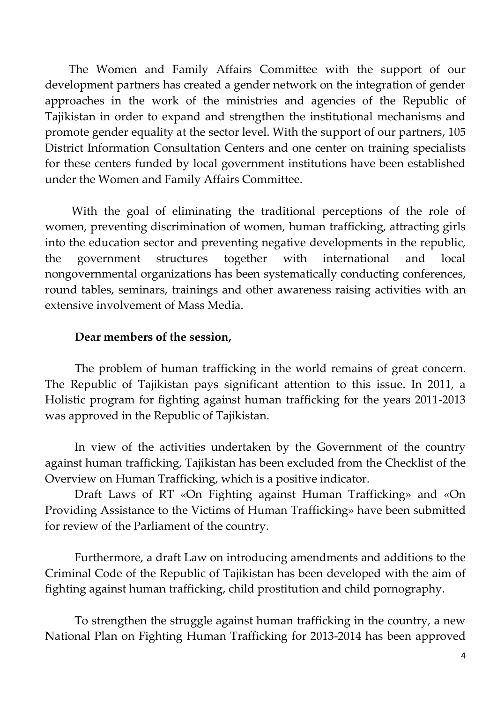The Women and Family Affairs Committee with the support of our development partners has created a gender network on the integration of gender approaches in the work of the ministries and agencies of the Republic of Tajikistan in order to expand and strengthen the institutional mechanisms and promote gender equality at the sector level. With the support of our partners, 105 District Information Consultation Centers and one center on training specialists for these centers funded by local government institutions have been established under the Women and Family Affairs Committee.

With the goal of eliminating the traditional perceptions of the role of women, preventing discrimination of women, human trafficking, attracting girls into the education sector and preventing negative developments in the republic, the government structures together with international and local nongovernmental organizations has been systematically conducting conferences, round tables, seminars, trainings and other awareness raising activities with an extensive involvement of Mass Media.

#### **Dear members of the session,**

The problem of human trafficking in the world remains of great concern. The Republic of Tajikistan pays significant attention to this issue. In 2011, a Holistic program for fighting against human trafficking for the years 2011-2013 was approved in the Republic of Tajikistan.

In view of the activities undertaken by the Government of the country against human trafficking, Tajikistan has been excluded from the Checklist of the Overview on Human Trafficking, which is a positive indicator.

Draft Laws of RT «On Fighting against Human Trafficking» and «On Providing Assistance to the Victims of Human Trafficking» have been submitted for review of the Parliament of the country.

Furthermore, a draft Law on introducing amendments and additions to the Criminal Code of the Republic of Tajikistan has been developed with the aim of fighting against human trafficking, child prostitution and child pornography.

To strengthen the struggle against human trafficking in the country, a new National Plan on Fighting Human Trafficking for 2013-2014 has been approved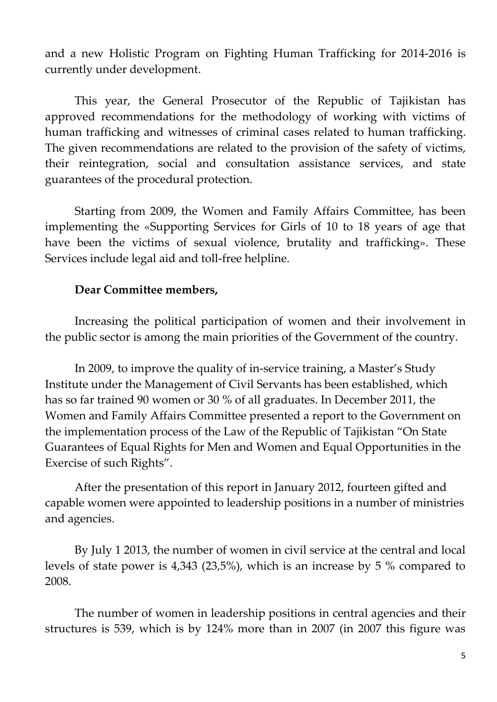and a new Holistic Program on Fighting Human Trafficking for 2014-2016 is currently under development.

This year, the General Prosecutor of the Republic of Tajikistan has approved recommendations for the methodology of working with victims of human trafficking and witnesses of criminal cases related to human trafficking. The given recommendations are related to the provision of the safety of victims, their reintegration, social and consultation assistance services, and state guarantees of the procedural protection.

Starting from 2009, the Women and Family Affairs Committee, has been implementing the «Supporting Services for Girls of 10 to 18 years of age that have been the victims of sexual violence, brutality and trafficking». These Services include legal aid and toll-free helpline.

## **Dear Committee members,**

Increasing the political participation of women and their involvement in the public sector is among the main priorities of the Government of the country.

In 2009, to improve the quality of in-service training, а Master's Study Institute under the Management of Civil Servants has been established, which has so far trained 90 women or 30 % of all graduates. In December 2011, the Women and Family Affairs Committee presented a report to the Government on the implementation process of the Law of the Republic of Tajikistan "On State Guarantees of Equal Rights for Men and Women and Equal Opportunities in the Exercise of such Rights".

After the presentation of this report in January 2012, fourteen gifted and capable women were appointed to leadership positions in a number of ministries and agencies.

By July 1 2013, the number of women in civil service at the central and local levels of state power is 4,343 (23,5%), which is an increase by 5 % compared to 2008.

The number of women in leadership positions in central agencies and their structures is 539, which is by 124% more than in 2007 (in 2007 this figure was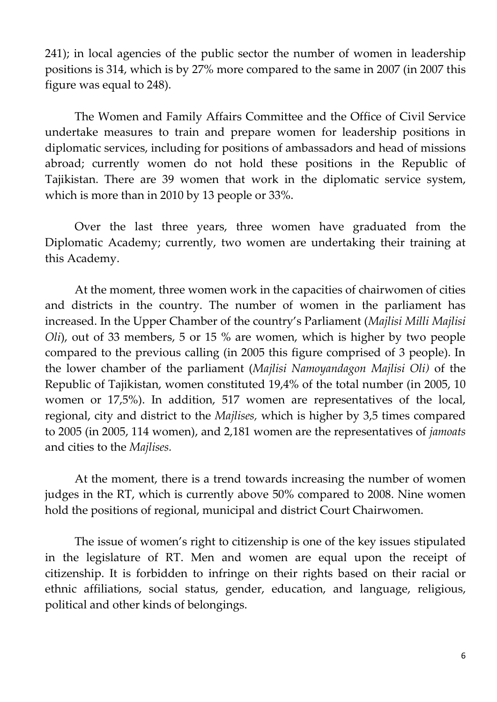241); in local agencies of the public sector the number of women in leadership positions is 314, which is by 27% more compared to the same in 2007 (in 2007 this figure was equal to 248).

The Women and Family Affairs Committee and the Office of Civil Service undertake measures to train and prepare women for leadership positions in diplomatic services, including for positions of ambassadors and head of missions abroad; currently women do not hold these positions in the Republic of Tajikistan. There are 39 women that work in the diplomatic service system, which is more than in 2010 by 13 people or 33%.

Over the last three years, three women have graduated from the Diplomatic Academy; currently, two women are undertaking their training at this Academy.

At the moment, three women work in the capacities of chairwomen of cities and districts in the country. The number of women in the parliament has increased. In the Upper Chamber of the country's Parliament (*Majlisi Milli Majlisi Oli*), out of 33 members, 5 or 15 % are women, which is higher by two people compared to the previous calling (in 2005 this figure comprised of 3 people). In the lower chamber of the parliament (*Majlisi Namoyandagon Majlisi Oli)* of the Republic of Tajikistan, women constituted 19,4% of the total number (in 2005, 10 women or 17,5%). In addition, 517 women are representatives of the local, regional, city and district to the *Majlises,* which is higher by 3,5 times compared to 2005 (in 2005, 114 women), and 2,181 women are the representatives of *jamoats* and cities to the *Majlises.* 

At the moment, there is a trend towards increasing the number of women judges in the RT, which is currently above 50% compared to 2008. Nine women hold the positions of regional, municipal and district Court Chairwomen.

The issue of women's right to citizenship is one of the key issues stipulated in the legislature of RT. Men and women are equal upon the receipt of citizenship. It is forbidden to infringe on their rights based on their racial or ethnic affiliations, social status, gender, education, and language, religious, political and other kinds of belongings.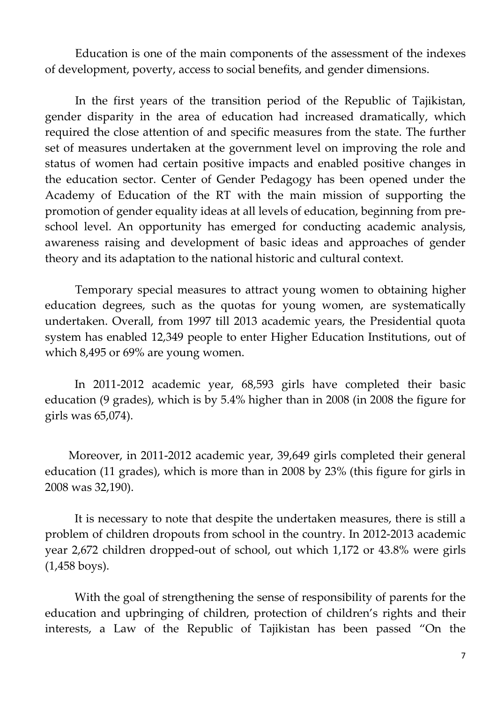Education is one of the main components of the assessment of the indexes of development, poverty, access to social benefits, and gender dimensions.

In the first years of the transition period of the Republic of Tajikistan, gender disparity in the area of education had increased dramatically, which required the close attention of and specific measures from the state. The further set of measures undertaken at the government level on improving the role and status of women had certain positive impacts and enabled positive changes in the education sector. Center of Gender Pedagogy has been opened under the Academy of Education of the RT with the main mission of supporting the promotion of gender equality ideas at all levels of education, beginning from preschool level. An opportunity has emerged for conducting academic analysis, awareness raising and development of basic ideas and approaches of gender theory and its adaptation to the national historic and cultural context.

Temporary special measures to attract young women to obtaining higher education degrees, such as the quotas for young women, are systematically undertaken. Overall, from 1997 till 2013 academic years, the Presidential quota system has enabled 12,349 people to enter Higher Education Institutions, out of which 8,495 or 69% are young women.

In 2011-2012 academic year, 68,593 girls have completed their basic education (9 grades), which is by 5.4% higher than in 2008 (in 2008 the figure for girls was 65,074).

Moreover, in 2011-2012 academic year, 39,649 girls completed their general education (11 grades), which is more than in 2008 by 23% (this figure for girls in 2008 was 32,190).

It is necessary to note that despite the undertaken measures, there is still a problem of children dropouts from school in the country. In 2012-2013 academic year 2,672 children dropped-out of school, out which 1,172 or 43.8% were girls (1,458 boys).

With the goal of strengthening the sense of responsibility of parents for the education and upbringing of children, protection of children's rights and their interests, a Law of the Republic of Tajikistan has been passed "On the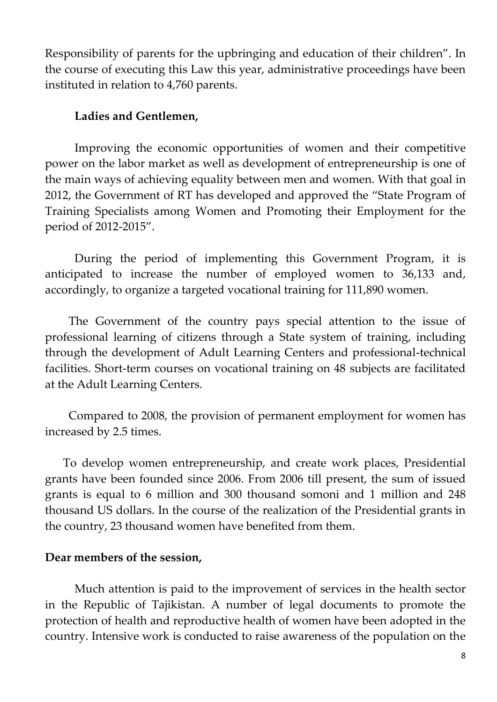Responsibility of parents for the upbringing and education of their children". In the course of executing this Law this year, administrative proceedings have been instituted in relation to 4,760 parents.

### **Ladies and Gentlemen,**

Improving the economic opportunities of women and their competitive power on the labor market as well as development of entrepreneurship is one of the main ways of achieving equality between men and women. With that goal in 2012, the Government of RT has developed and approved the "State Program of Training Specialists among Women and Promoting their Employment for the period of 2012-2015".

During the period of implementing this Government Program, it is anticipated to increase the number of employed women to 36,133 and, accordingly, to organize a targeted vocational training for 111,890 women.

The Government of the country pays special attention to the issue of professional learning of citizens through a State system of training, including through the development of Adult Learning Centers and professional-technical facilities. Short-term courses on vocational training on 48 subjects are facilitated at the Adult Learning Centers.

Compared to 2008, the provision of permanent employment for women has increased by 2.5 times.

To develop women entrepreneurship, and create work places, Presidential grants have been founded since 2006. From 2006 till present, the sum of issued grants is equal to 6 million and 300 thousand somoni and 1 million and 248 thousand US dollars. In the course of the realization of the Presidential grants in the country, 23 thousand women have benefited from them.

## **Dear members of the session,**

Much attention is paid to the improvement of services in the health sector in the Republic of Tajikistan. A number of legal documents to promote the protection of health and reproductive health of women have been adopted in the country. Intensive work is conducted to raise awareness of the population on the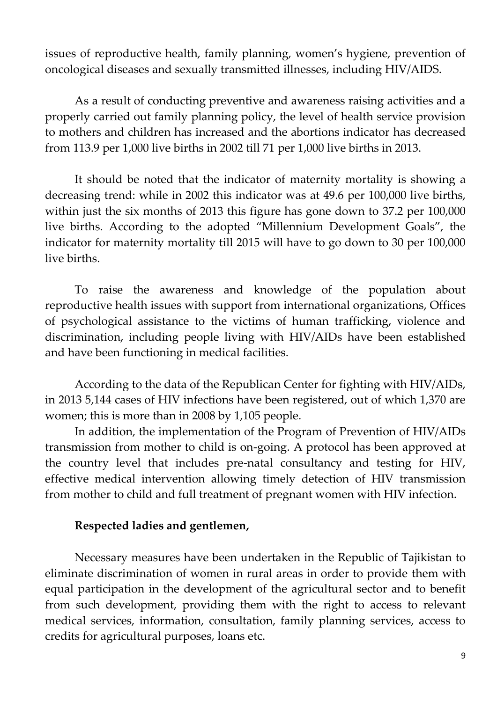issues of reproductive health, family planning, women's hygiene, prevention of oncological diseases and sexually transmitted illnesses, including HIV/AIDS.

As a result of conducting preventive and awareness raising activities and a properly carried out family planning policy, the level of health service provision to mothers and children has increased and the abortions indicator has decreased from 113.9 per 1,000 live births in 2002 till 71 per 1,000 live births in 2013.

It should be noted that the indicator of maternity mortality is showing a decreasing trend: while in 2002 this indicator was at 49.6 per 100,000 live births, within just the six months of 2013 this figure has gone down to 37.2 per 100,000 live births. According to the adopted "Millennium Development Goals", the indicator for maternity mortality till 2015 will have to go down to 30 per 100,000 live births.

To raise the awareness and knowledge of the population about reproductive health issues with support from international organizations, Offices of psychological assistance to the victims of human trafficking, violence and discrimination, including people living with HIV/AIDs have been established and have been functioning in medical facilities.

According to the data of the Republican Center for fighting with HIV/AIDs, in 2013 5,144 cases of HIV infections have been registered, out of which 1,370 are women; this is more than in 2008 by 1,105 people.

In addition, the implementation of the Program of Prevention of HIV/AIDs transmission from mother to child is on-going. A protocol has been approved at the country level that includes pre-natal consultancy and testing for HIV, effective medical intervention allowing timely detection of HIV transmission from mother to child and full treatment of pregnant women with HIV infection.

## **Respected ladies and gentlemen,**

Necessary measures have been undertaken in the Republic of Tajikistan to eliminate discrimination of women in rural areas in order to provide them with equal participation in the development of the agricultural sector and to benefit from such development, providing them with the right to access to relevant medical services, information, consultation, family planning services, access to credits for agricultural purposes, loans etc.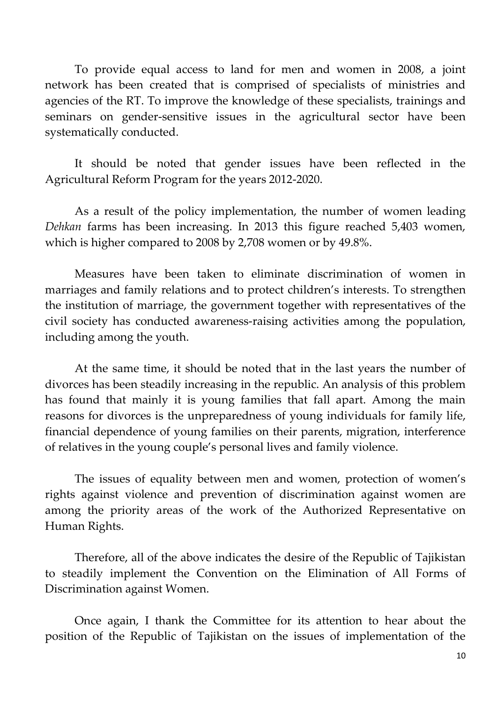To provide equal access to land for men and women in 2008, a joint network has been created that is comprised of specialists of ministries and agencies of the RT. To improve the knowledge of these specialists, trainings and seminars on gender-sensitive issues in the agricultural sector have been systematically conducted.

It should be noted that gender issues have been reflected in the Agricultural Reform Program for the years 2012-2020.

As a result of the policy implementation, the number of women leading *Dehkan* farms has been increasing. In 2013 this figure reached 5,403 women, which is higher compared to 2008 by 2,708 women or by 49.8%.

Measures have been taken to eliminate discrimination of women in marriages and family relations and to protect children's interests. To strengthen the institution of marriage, the government together with representatives of the civil society has conducted awareness-raising activities among the population, including among the youth.

At the same time, it should be noted that in the last years the number of divorces has been steadily increasing in the republic. An analysis of this problem has found that mainly it is young families that fall apart. Among the main reasons for divorces is the unpreparedness of young individuals for family life, financial dependence of young families on their parents, migration, interference of relatives in the young couple's personal lives and family violence.

The issues of equality between men and women, protection of women's rights against violence and prevention of discrimination against women are among the priority areas of the work of the Authorized Representative on Human Rights.

Therefore, all of the above indicates the desire of the Republic of Tajikistan to steadily implement the Convention on the Elimination of All Forms of Discrimination against Women.

Once again, I thank the Committee for its attention to hear about the position of the Republic of Tajikistan on the issues of implementation of the